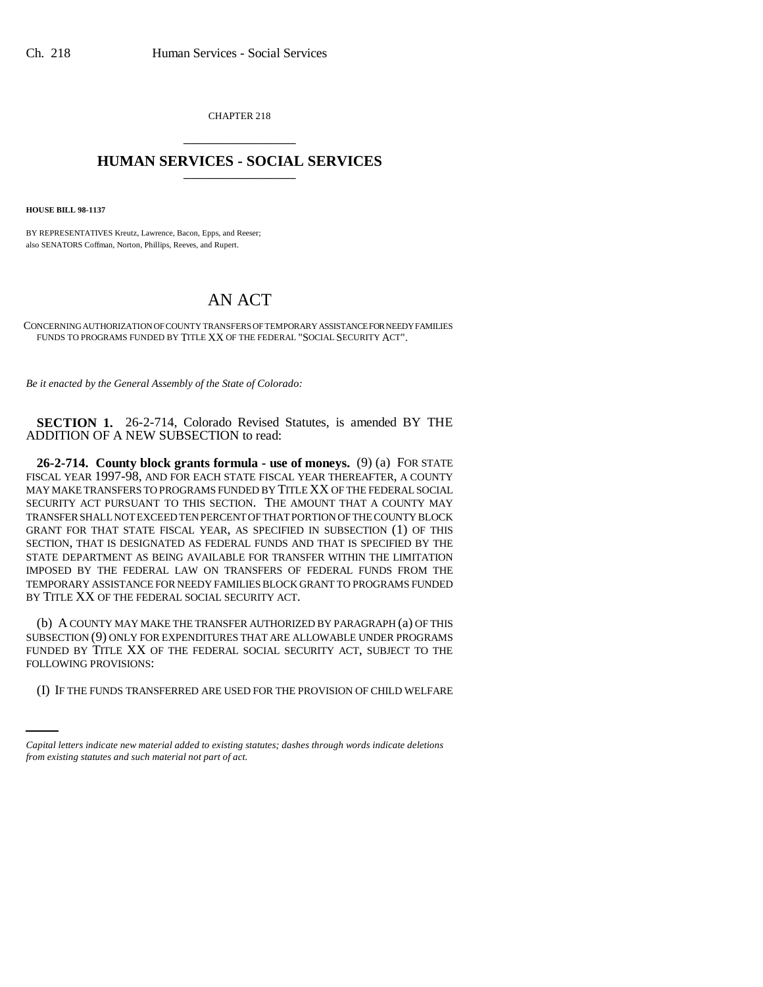CHAPTER 218 \_\_\_\_\_\_\_\_\_\_\_\_\_\_\_

# **HUMAN SERVICES - SOCIAL SERVICES** \_\_\_\_\_\_\_\_\_\_\_\_\_\_\_

**HOUSE BILL 98-1137**

BY REPRESENTATIVES Kreutz, Lawrence, Bacon, Epps, and Reeser; also SENATORS Coffman, Norton, Phillips, Reeves, and Rupert.

# AN ACT

CONCERNING AUTHORIZATION OF COUNTY TRANSFERS OF TEMPORARY ASSISTANCE FOR NEEDY FAMILIES FUNDS TO PROGRAMS FUNDED BY TITLE XX OF THE FEDERAL "SOCIAL SECURITY ACT".

*Be it enacted by the General Assembly of the State of Colorado:*

**SECTION 1.** 26-2-714, Colorado Revised Statutes, is amended BY THE ADDITION OF A NEW SUBSECTION to read:

**26-2-714. County block grants formula - use of moneys.** (9) (a) FOR STATE FISCAL YEAR 1997-98, AND FOR EACH STATE FISCAL YEAR THEREAFTER, A COUNTY MAY MAKE TRANSFERS TO PROGRAMS FUNDED BY TITLE XX OF THE FEDERAL SOCIAL SECURITY ACT PURSUANT TO THIS SECTION. THE AMOUNT THAT A COUNTY MAY TRANSFER SHALL NOT EXCEED TEN PERCENT OF THAT PORTION OF THE COUNTY BLOCK GRANT FOR THAT STATE FISCAL YEAR, AS SPECIFIED IN SUBSECTION (1) OF THIS SECTION, THAT IS DESIGNATED AS FEDERAL FUNDS AND THAT IS SPECIFIED BY THE STATE DEPARTMENT AS BEING AVAILABLE FOR TRANSFER WITHIN THE LIMITATION IMPOSED BY THE FEDERAL LAW ON TRANSFERS OF FEDERAL FUNDS FROM THE TEMPORARY ASSISTANCE FOR NEEDY FAMILIES BLOCK GRANT TO PROGRAMS FUNDED BY TITLE XX OF THE FEDERAL SOCIAL SECURITY ACT.

FOLLOWING PROVISIONS: (b) A COUNTY MAY MAKE THE TRANSFER AUTHORIZED BY PARAGRAPH (a) OF THIS SUBSECTION (9) ONLY FOR EXPENDITURES THAT ARE ALLOWABLE UNDER PROGRAMS FUNDED BY TITLE XX OF THE FEDERAL SOCIAL SECURITY ACT, SUBJECT TO THE

(I) IF THE FUNDS TRANSFERRED ARE USED FOR THE PROVISION OF CHILD WELFARE

*Capital letters indicate new material added to existing statutes; dashes through words indicate deletions from existing statutes and such material not part of act.*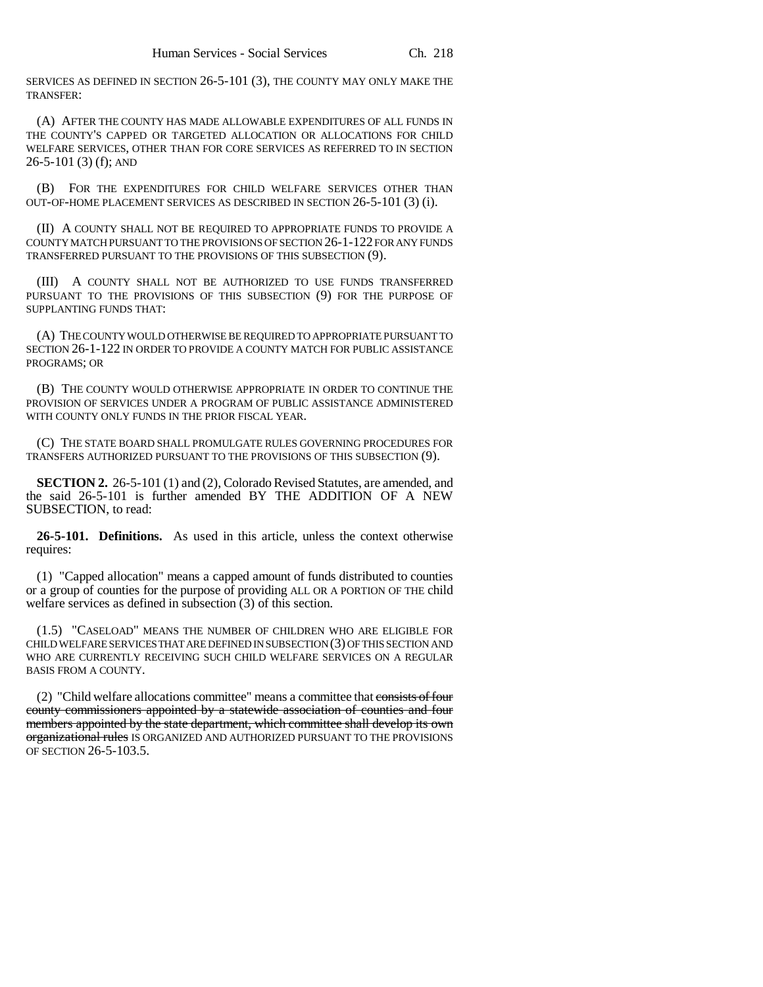SERVICES AS DEFINED IN SECTION 26-5-101 (3), THE COUNTY MAY ONLY MAKE THE TRANSFER:

(A) AFTER THE COUNTY HAS MADE ALLOWABLE EXPENDITURES OF ALL FUNDS IN THE COUNTY'S CAPPED OR TARGETED ALLOCATION OR ALLOCATIONS FOR CHILD WELFARE SERVICES, OTHER THAN FOR CORE SERVICES AS REFERRED TO IN SECTION 26-5-101 (3) (f); AND

(B) FOR THE EXPENDITURES FOR CHILD WELFARE SERVICES OTHER THAN OUT-OF-HOME PLACEMENT SERVICES AS DESCRIBED IN SECTION 26-5-101 (3) (i).

(II) A COUNTY SHALL NOT BE REQUIRED TO APPROPRIATE FUNDS TO PROVIDE A COUNTY MATCH PURSUANT TO THE PROVISIONS OF SECTION 26-1-122 FOR ANY FUNDS TRANSFERRED PURSUANT TO THE PROVISIONS OF THIS SUBSECTION (9).

(III) A COUNTY SHALL NOT BE AUTHORIZED TO USE FUNDS TRANSFERRED PURSUANT TO THE PROVISIONS OF THIS SUBSECTION (9) FOR THE PURPOSE OF SUPPLANTING FUNDS THAT:

(A) THE COUNTY WOULD OTHERWISE BE REQUIRED TO APPROPRIATE PURSUANT TO SECTION 26-1-122 IN ORDER TO PROVIDE A COUNTY MATCH FOR PUBLIC ASSISTANCE PROGRAMS; OR

(B) THE COUNTY WOULD OTHERWISE APPROPRIATE IN ORDER TO CONTINUE THE PROVISION OF SERVICES UNDER A PROGRAM OF PUBLIC ASSISTANCE ADMINISTERED WITH COUNTY ONLY FUNDS IN THE PRIOR FISCAL YEAR.

(C) THE STATE BOARD SHALL PROMULGATE RULES GOVERNING PROCEDURES FOR TRANSFERS AUTHORIZED PURSUANT TO THE PROVISIONS OF THIS SUBSECTION (9).

**SECTION 2.** 26-5-101 (1) and (2), Colorado Revised Statutes, are amended, and the said 26-5-101 is further amended BY THE ADDITION OF A NEW SUBSECTION, to read:

**26-5-101. Definitions.** As used in this article, unless the context otherwise requires:

(1) "Capped allocation" means a capped amount of funds distributed to counties or a group of counties for the purpose of providing ALL OR A PORTION OF THE child welfare services as defined in subsection (3) of this section.

(1.5) "CASELOAD" MEANS THE NUMBER OF CHILDREN WHO ARE ELIGIBLE FOR CHILD WELFARE SERVICES THAT ARE DEFINED IN SUBSECTION (3) OF THIS SECTION AND WHO ARE CURRENTLY RECEIVING SUCH CHILD WELFARE SERVICES ON A REGULAR BASIS FROM A COUNTY.

(2) "Child welfare allocations committee" means a committee that consists of four county commissioners appointed by a statewide association of counties and four members appointed by the state department, which committee shall develop its own organizational rules IS ORGANIZED AND AUTHORIZED PURSUANT TO THE PROVISIONS OF SECTION 26-5-103.5.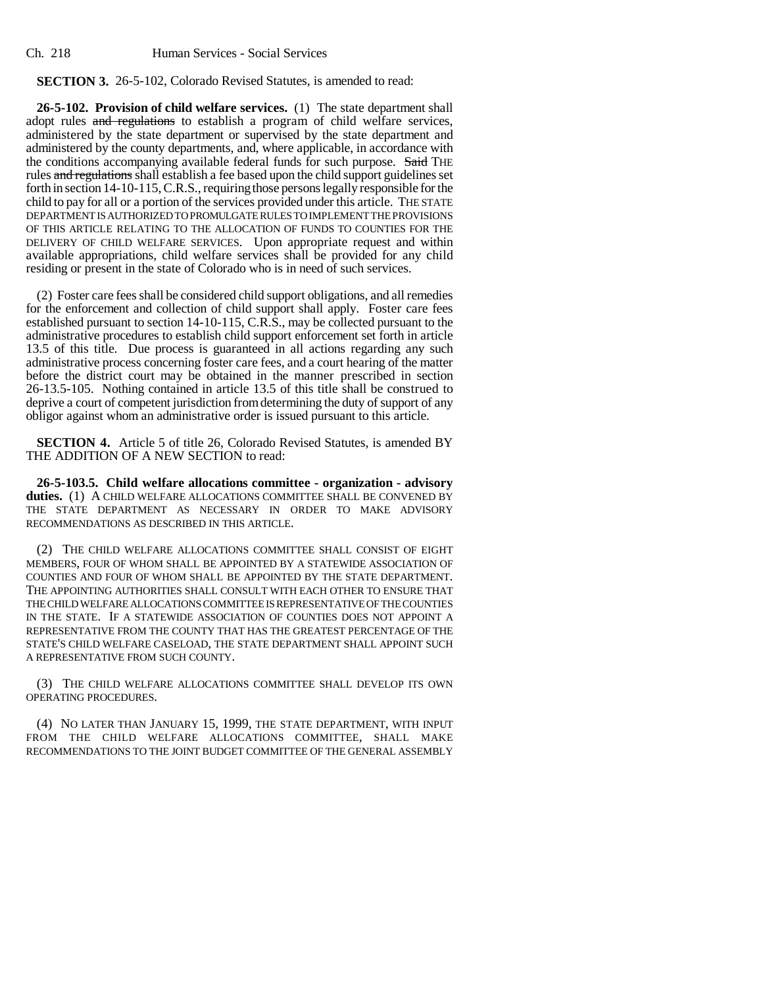## **SECTION 3.** 26-5-102, Colorado Revised Statutes, is amended to read:

**26-5-102. Provision of child welfare services.** (1) The state department shall adopt rules and regulations to establish a program of child welfare services, administered by the state department or supervised by the state department and administered by the county departments, and, where applicable, in accordance with the conditions accompanying available federal funds for such purpose. Said THE rules and regulations shall establish a fee based upon the child support guidelines set forth in section 14-10-115, C.R.S., requiring those persons legally responsible for the child to pay for all or a portion of the services provided under this article. THE STATE DEPARTMENT IS AUTHORIZED TO PROMULGATE RULES TO IMPLEMENT THE PROVISIONS OF THIS ARTICLE RELATING TO THE ALLOCATION OF FUNDS TO COUNTIES FOR THE DELIVERY OF CHILD WELFARE SERVICES. Upon appropriate request and within available appropriations, child welfare services shall be provided for any child residing or present in the state of Colorado who is in need of such services.

(2) Foster care fees shall be considered child support obligations, and all remedies for the enforcement and collection of child support shall apply. Foster care fees established pursuant to section 14-10-115, C.R.S., may be collected pursuant to the administrative procedures to establish child support enforcement set forth in article 13.5 of this title. Due process is guaranteed in all actions regarding any such administrative process concerning foster care fees, and a court hearing of the matter before the district court may be obtained in the manner prescribed in section 26-13.5-105. Nothing contained in article 13.5 of this title shall be construed to deprive a court of competent jurisdiction from determining the duty of support of any obligor against whom an administrative order is issued pursuant to this article.

**SECTION 4.** Article 5 of title 26, Colorado Revised Statutes, is amended BY THE ADDITION OF A NEW SECTION to read:

**26-5-103.5. Child welfare allocations committee - organization - advisory duties.** (1) A CHILD WELFARE ALLOCATIONS COMMITTEE SHALL BE CONVENED BY THE STATE DEPARTMENT AS NECESSARY IN ORDER TO MAKE ADVISORY RECOMMENDATIONS AS DESCRIBED IN THIS ARTICLE.

(2) THE CHILD WELFARE ALLOCATIONS COMMITTEE SHALL CONSIST OF EIGHT MEMBERS, FOUR OF WHOM SHALL BE APPOINTED BY A STATEWIDE ASSOCIATION OF COUNTIES AND FOUR OF WHOM SHALL BE APPOINTED BY THE STATE DEPARTMENT. THE APPOINTING AUTHORITIES SHALL CONSULT WITH EACH OTHER TO ENSURE THAT THE CHILD WELFARE ALLOCATIONS COMMITTEE IS REPRESENTATIVE OF THE COUNTIES IN THE STATE. IF A STATEWIDE ASSOCIATION OF COUNTIES DOES NOT APPOINT A REPRESENTATIVE FROM THE COUNTY THAT HAS THE GREATEST PERCENTAGE OF THE STATE'S CHILD WELFARE CASELOAD, THE STATE DEPARTMENT SHALL APPOINT SUCH A REPRESENTATIVE FROM SUCH COUNTY.

(3) THE CHILD WELFARE ALLOCATIONS COMMITTEE SHALL DEVELOP ITS OWN OPERATING PROCEDURES.

(4) NO LATER THAN JANUARY 15, 1999, THE STATE DEPARTMENT, WITH INPUT FROM THE CHILD WELFARE ALLOCATIONS COMMITTEE, SHALL MAKE RECOMMENDATIONS TO THE JOINT BUDGET COMMITTEE OF THE GENERAL ASSEMBLY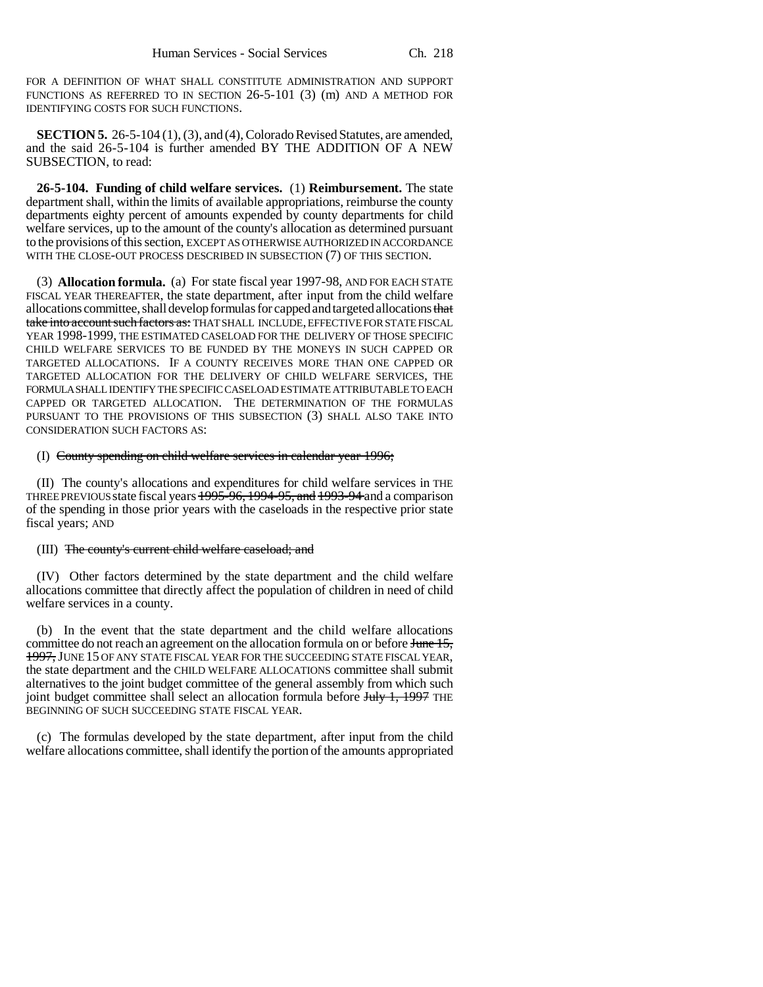FOR A DEFINITION OF WHAT SHALL CONSTITUTE ADMINISTRATION AND SUPPORT FUNCTIONS AS REFERRED TO IN SECTION 26-5-101 (3) (m) AND A METHOD FOR IDENTIFYING COSTS FOR SUCH FUNCTIONS.

**SECTION 5.** 26-5-104 (1), (3), and (4), Colorado Revised Statutes, are amended, and the said 26-5-104 is further amended BY THE ADDITION OF A NEW SUBSECTION, to read:

**26-5-104. Funding of child welfare services.** (1) **Reimbursement.** The state department shall, within the limits of available appropriations, reimburse the county departments eighty percent of amounts expended by county departments for child welfare services, up to the amount of the county's allocation as determined pursuant to the provisions of this section, EXCEPT AS OTHERWISE AUTHORIZED IN ACCORDANCE WITH THE CLOSE-OUT PROCESS DESCRIBED IN SUBSECTION (7) OF THIS SECTION.

(3) **Allocation formula.** (a) For state fiscal year 1997-98, AND FOR EACH STATE FISCAL YEAR THEREAFTER, the state department, after input from the child welfare allocations committee, shall develop formulas for capped and targeted allocations that take into account such factors as: THAT SHALL INCLUDE, EFFECTIVE FOR STATE FISCAL YEAR 1998-1999, THE ESTIMATED CASELOAD FOR THE DELIVERY OF THOSE SPECIFIC CHILD WELFARE SERVICES TO BE FUNDED BY THE MONEYS IN SUCH CAPPED OR TARGETED ALLOCATIONS. IF A COUNTY RECEIVES MORE THAN ONE CAPPED OR TARGETED ALLOCATION FOR THE DELIVERY OF CHILD WELFARE SERVICES, THE FORMULA SHALL IDENTIFY THE SPECIFIC CASELOAD ESTIMATE ATTRIBUTABLE TO EACH CAPPED OR TARGETED ALLOCATION. THE DETERMINATION OF THE FORMULAS PURSUANT TO THE PROVISIONS OF THIS SUBSECTION (3) SHALL ALSO TAKE INTO CONSIDERATION SUCH FACTORS AS:

#### (I) County spending on child welfare services in calendar year 1996;

(II) The county's allocations and expenditures for child welfare services in THE THREE PREVIOUS state fiscal years 1995-96, 1994-95, and 1993-94 and a comparison of the spending in those prior years with the caseloads in the respective prior state fiscal years; AND

### (III) The county's current child welfare caseload; and

(IV) Other factors determined by the state department and the child welfare allocations committee that directly affect the population of children in need of child welfare services in a county.

(b) In the event that the state department and the child welfare allocations committee do not reach an agreement on the allocation formula on or before June 15, 1997, JUNE 15 OF ANY STATE FISCAL YEAR FOR THE SUCCEEDING STATE FISCAL YEAR, the state department and the CHILD WELFARE ALLOCATIONS committee shall submit alternatives to the joint budget committee of the general assembly from which such joint budget committee shall select an allocation formula before July 1, 1997 THE BEGINNING OF SUCH SUCCEEDING STATE FISCAL YEAR.

(c) The formulas developed by the state department, after input from the child welfare allocations committee, shall identify the portion of the amounts appropriated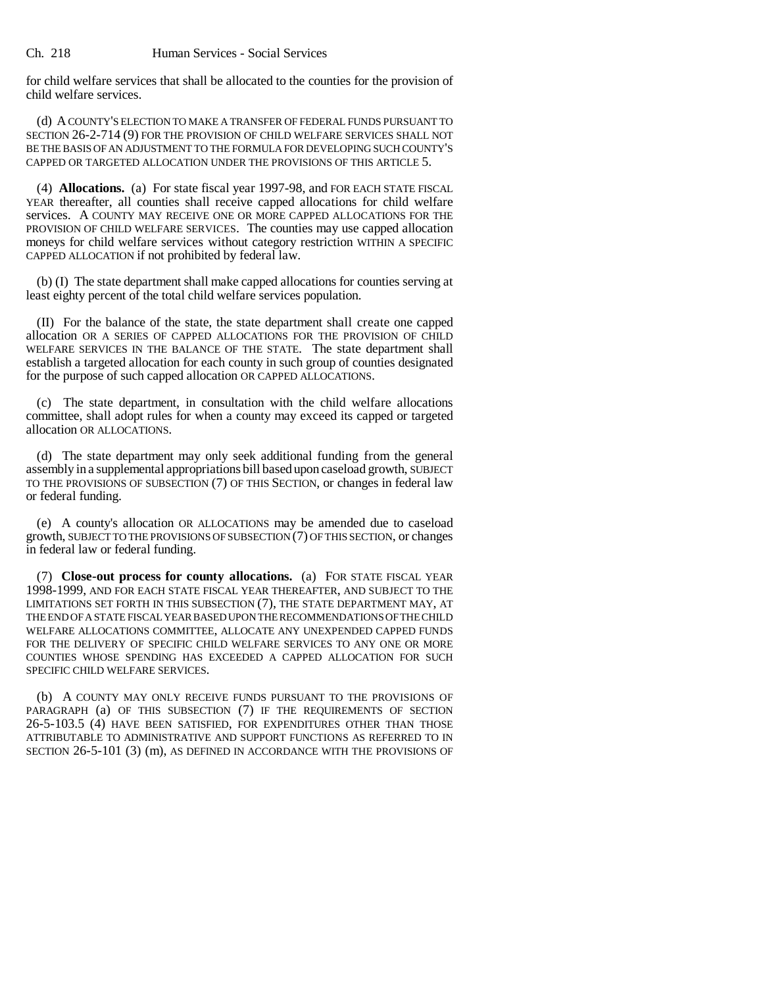Ch. 218 Human Services - Social Services

for child welfare services that shall be allocated to the counties for the provision of child welfare services.

(d) A COUNTY'S ELECTION TO MAKE A TRANSFER OF FEDERAL FUNDS PURSUANT TO SECTION 26-2-714 (9) FOR THE PROVISION OF CHILD WELFARE SERVICES SHALL NOT BE THE BASIS OF AN ADJUSTMENT TO THE FORMULA FOR DEVELOPING SUCH COUNTY'S CAPPED OR TARGETED ALLOCATION UNDER THE PROVISIONS OF THIS ARTICLE 5.

(4) **Allocations.** (a) For state fiscal year 1997-98, and FOR EACH STATE FISCAL YEAR thereafter, all counties shall receive capped allocations for child welfare services. A COUNTY MAY RECEIVE ONE OR MORE CAPPED ALLOCATIONS FOR THE PROVISION OF CHILD WELFARE SERVICES. The counties may use capped allocation moneys for child welfare services without category restriction WITHIN A SPECIFIC CAPPED ALLOCATION if not prohibited by federal law.

(b) (I) The state department shall make capped allocations for counties serving at least eighty percent of the total child welfare services population.

(II) For the balance of the state, the state department shall create one capped allocation OR A SERIES OF CAPPED ALLOCATIONS FOR THE PROVISION OF CHILD WELFARE SERVICES IN THE BALANCE OF THE STATE. The state department shall establish a targeted allocation for each county in such group of counties designated for the purpose of such capped allocation OR CAPPED ALLOCATIONS.

(c) The state department, in consultation with the child welfare allocations committee, shall adopt rules for when a county may exceed its capped or targeted allocation OR ALLOCATIONS.

(d) The state department may only seek additional funding from the general assembly in a supplemental appropriations bill based upon caseload growth, SUBJECT TO THE PROVISIONS OF SUBSECTION (7) OF THIS SECTION, or changes in federal law or federal funding.

(e) A county's allocation OR ALLOCATIONS may be amended due to caseload growth, SUBJECT TO THE PROVISIONS OF SUBSECTION (7) OF THIS SECTION, or changes in federal law or federal funding.

(7) **Close-out process for county allocations.** (a) FOR STATE FISCAL YEAR 1998-1999, AND FOR EACH STATE FISCAL YEAR THEREAFTER, AND SUBJECT TO THE LIMITATIONS SET FORTH IN THIS SUBSECTION (7), THE STATE DEPARTMENT MAY, AT THE END OF A STATE FISCAL YEAR BASED UPON THE RECOMMENDATIONS OF THE CHILD WELFARE ALLOCATIONS COMMITTEE, ALLOCATE ANY UNEXPENDED CAPPED FUNDS FOR THE DELIVERY OF SPECIFIC CHILD WELFARE SERVICES TO ANY ONE OR MORE COUNTIES WHOSE SPENDING HAS EXCEEDED A CAPPED ALLOCATION FOR SUCH SPECIFIC CHILD WELFARE SERVICES.

(b) A COUNTY MAY ONLY RECEIVE FUNDS PURSUANT TO THE PROVISIONS OF PARAGRAPH (a) OF THIS SUBSECTION (7) IF THE REQUIREMENTS OF SECTION 26-5-103.5 (4) HAVE BEEN SATISFIED, FOR EXPENDITURES OTHER THAN THOSE ATTRIBUTABLE TO ADMINISTRATIVE AND SUPPORT FUNCTIONS AS REFERRED TO IN SECTION 26-5-101 (3) (m), AS DEFINED IN ACCORDANCE WITH THE PROVISIONS OF